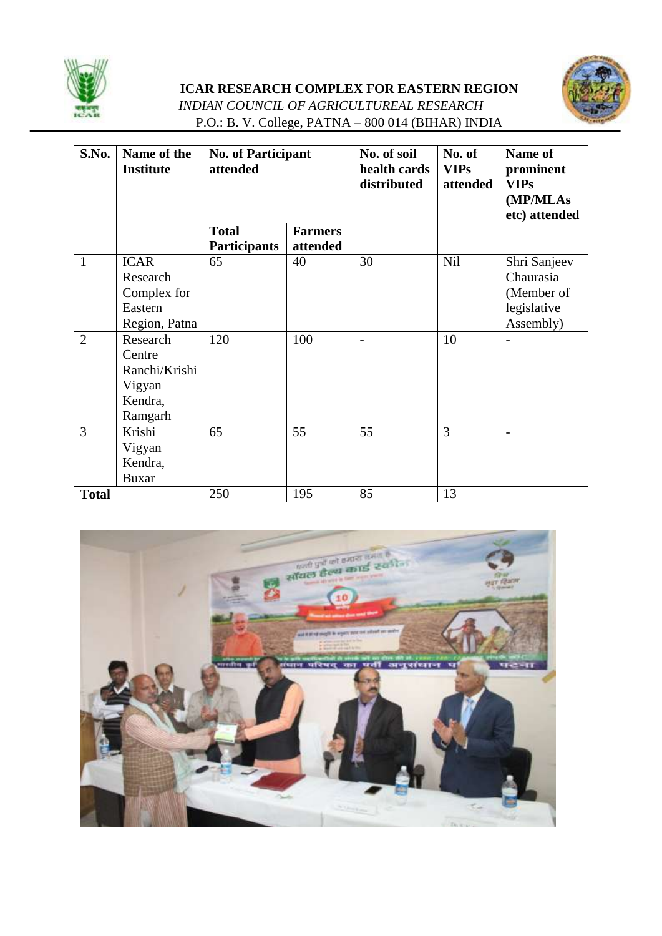

## **ICAR RESEARCH COMPLEX FOR EASTERN REGION**



*INDIAN COUNCIL OF AGRICULTUREAL RESEARCH* P.O.: B. V. College, PATNA – 800 014 (BIHAR) INDIA

| S.No.          | Name of the      | <b>No. of Participant</b> |                | No. of soil  | No. of      | Name of       |
|----------------|------------------|---------------------------|----------------|--------------|-------------|---------------|
|                | <b>Institute</b> | attended                  |                | health cards | <b>VIPs</b> | prominent     |
|                |                  |                           |                | distributed  | attended    | <b>VIPs</b>   |
|                |                  |                           |                |              |             | (MP/MLAs      |
|                |                  |                           |                |              |             | etc) attended |
|                |                  | <b>Total</b>              | <b>Farmers</b> |              |             |               |
|                |                  | <b>Participants</b>       | attended       |              |             |               |
| $\mathbf{1}$   | <b>ICAR</b>      | 65                        | 40             | 30           | Nil         | Shri Sanjeev  |
|                | Research         |                           |                |              |             | Chaurasia     |
|                | Complex for      |                           |                |              |             | (Member of    |
|                | Eastern          |                           |                |              |             | legislative   |
|                | Region, Patna    |                           |                |              |             | Assembly)     |
| $\overline{2}$ | Research         | 120                       | 100            |              | 10          |               |
|                | Centre           |                           |                |              |             |               |
|                | Ranchi/Krishi    |                           |                |              |             |               |
|                | Vigyan           |                           |                |              |             |               |
|                | Kendra,          |                           |                |              |             |               |
|                | Ramgarh          |                           |                |              |             |               |
| $\overline{3}$ | Krishi           | 65                        | 55             | 55           | 3           |               |
|                | Vigyan           |                           |                |              |             |               |
|                | Kendra,          |                           |                |              |             |               |
|                | <b>Buxar</b>     |                           |                |              |             |               |
| <b>Total</b>   |                  | 250                       | 195            | 85           | 13          |               |

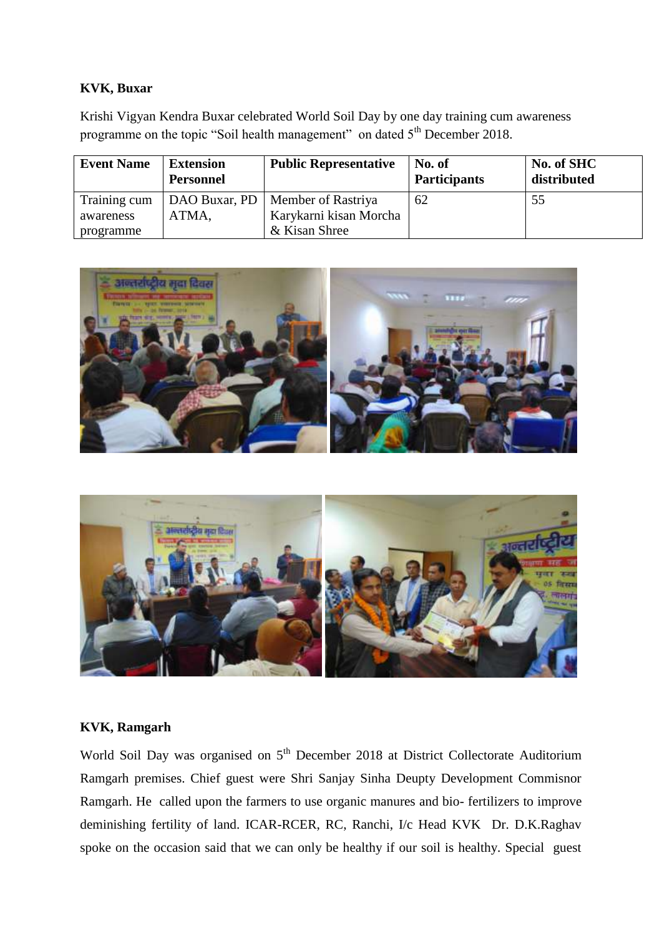## **KVK, Buxar**

Krishi Vigyan Kendra Buxar celebrated World Soil Day by one day training cum awareness programme on the topic "Soil health management" on dated 5<sup>th</sup> December 2018.

| <b>Event Name</b> | <b>Extension</b><br><b>Personnel</b> | <b>Public Representative</b> | No. of<br><b>Participants</b> | No. of SHC<br>distributed |
|-------------------|--------------------------------------|------------------------------|-------------------------------|---------------------------|
| Training cum      | DAO Buxar, PD                        | Member of Rastriya           | 62                            | 55                        |
| awareness         | ATMA.                                | Karykarni kisan Morcha       |                               |                           |
| programme         |                                      | & Kisan Shree                |                               |                           |





## **KVK, Ramgarh**

World Soil Day was organised on 5<sup>th</sup> December 2018 at District Collectorate Auditorium Ramgarh premises. Chief guest were Shri Sanjay Sinha Deupty Development Commisnor Ramgarh. He called upon the farmers to use organic manures and bio- fertilizers to improve deminishing fertility of land. ICAR-RCER, RC, Ranchi, I/c Head KVK Dr. D.K.Raghav spoke on the occasion said that we can only be healthy if our soil is healthy. Special guest